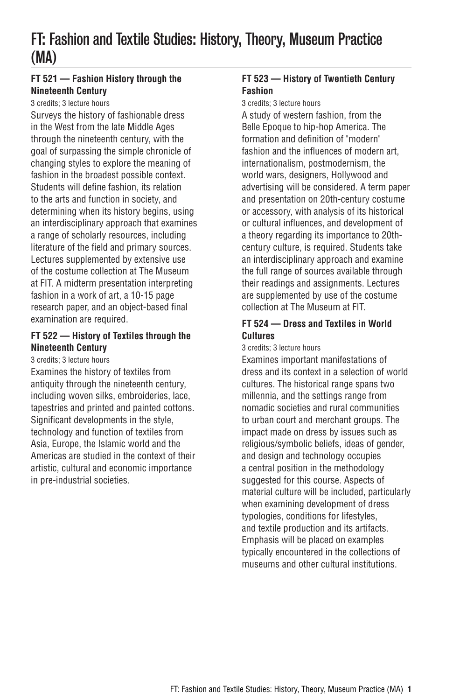# FT: Fashion and Textile Studies: History, Theory, Museum Practice (MA)

## **FT 521 — Fashion History through the Nineteenth Century**

3 credits; 3 lecture hours

Surveys the history of fashionable dress in the West from the late Middle Ages through the nineteenth century, with the goal of surpassing the simple chronicle of changing styles to explore the meaning of fashion in the broadest possible context. Students will define fashion, its relation to the arts and function in society, and determining when its history begins, using an interdisciplinary approach that examines a range of scholarly resources, including literature of the field and primary sources. Lectures supplemented by extensive use of the costume collection at The Museum at FIT. A midterm presentation interpreting fashion in a work of art, a 10-15 page research paper, and an object-based final examination are required.

## **FT 522 — History of Textiles through the Nineteenth Century**

3 credits; 3 lecture hours

Examines the history of textiles from antiquity through the nineteenth century, including woven silks, embroideries, lace, tapestries and printed and painted cottons. Significant developments in the style, technology and function of textiles from Asia, Europe, the Islamic world and the Americas are studied in the context of their artistic, cultural and economic importance in pre-industrial societies.

#### **FT 523 — History of Twentieth Century Fashion**

3 credits; 3 lecture hours

A study of western fashion, from the Belle Epoque to hip-hop America. The formation and definition of "modern" fashion and the influences of modern art, internationalism, postmodernism, the world wars, designers, Hollywood and advertising will be considered. A term paper and presentation on 20th-century costume or accessory, with analysis of its historical or cultural influences, and development of a theory regarding its importance to 20thcentury culture, is required. Students take an interdisciplinary approach and examine the full range of sources available through their readings and assignments. Lectures are supplemented by use of the costume collection at The Museum at FIT.

#### **FT 524 — Dress and Textiles in World Cultures**

3 credits; 3 lecture hours

Examines important manifestations of dress and its context in a selection of world cultures. The historical range spans two millennia, and the settings range from nomadic societies and rural communities to urban court and merchant groups. The impact made on dress by issues such as religious/symbolic beliefs, ideas of gender, and design and technology occupies a central position in the methodology suggested for this course. Aspects of material culture will be included, particularly when examining development of dress typologies, conditions for lifestyles, and textile production and its artifacts. Emphasis will be placed on examples typically encountered in the collections of museums and other cultural institutions.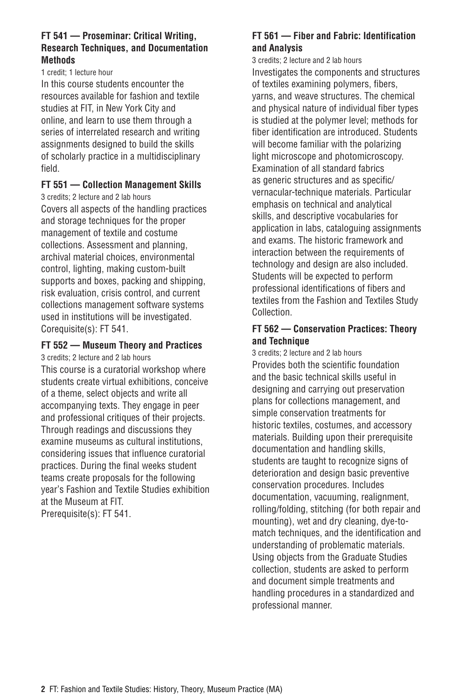#### **FT 541 — Proseminar: Critical Writing, Research Techniques, and Documentation Methods**

#### 1 credit; 1 lecture hour

In this course students encounter the resources available for fashion and textile studies at FIT, in New York City and online, and learn to use them through a series of interrelated research and writing assignments designed to build the skills of scholarly practice in a multidisciplinary field.

#### **FT 551 — Collection Management Skills**

3 credits; 2 lecture and 2 lab hours

Covers all aspects of the handling practices and storage techniques for the proper management of textile and costume collections. Assessment and planning, archival material choices, environmental control, lighting, making custom-built supports and boxes, packing and shipping, risk evaluation, crisis control, and current collections management software systems used in institutions will be investigated. Corequisite(s): FT 541.

## **FT 552 — Museum Theory and Practices**

3 credits; 2 lecture and 2 lab hours

This course is a curatorial workshop where students create virtual exhibitions, conceive of a theme, select objects and write all accompanying texts. They engage in peer and professional critiques of their projects. Through readings and discussions they examine museums as cultural institutions, considering issues that influence curatorial practices. During the final weeks student teams create proposals for the following year's Fashion and Textile Studies exhibition at the Museum at FIT.

Prerequisite(s): FT 541.

## **FT 561 — Fiber and Fabric: Identification and Analysis**

3 credits; 2 lecture and 2 lab hours Investigates the components and structures of textiles examining polymers, fibers, yarns, and weave structures. The chemical and physical nature of individual fiber types is studied at the polymer level; methods for fiber identification are introduced. Students will become familiar with the polarizing light microscope and photomicroscopy. Examination of all standard fabrics as generic structures and as specific/ vernacular-technique materials. Particular emphasis on technical and analytical skills, and descriptive vocabularies for application in labs, cataloguing assignments and exams. The historic framework and interaction between the requirements of technology and design are also included. Students will be expected to perform professional identifications of fibers and textiles from the Fashion and Textiles Study Collection.

## **FT 562 — Conservation Practices: Theory and Technique**

3 credits; 2 lecture and 2 lab hours Provides both the scientific foundation and the basic technical skills useful in designing and carrying out preservation plans for collections management, and simple conservation treatments for historic textiles, costumes, and accessory materials. Building upon their prerequisite documentation and handling skills, students are taught to recognize signs of deterioration and design basic preventive conservation procedures. Includes documentation, vacuuming, realignment, rolling/folding, stitching (for both repair and mounting), wet and dry cleaning, dye-tomatch techniques, and the identification and understanding of problematic materials. Using objects from the Graduate Studies collection, students are asked to perform and document simple treatments and handling procedures in a standardized and professional manner.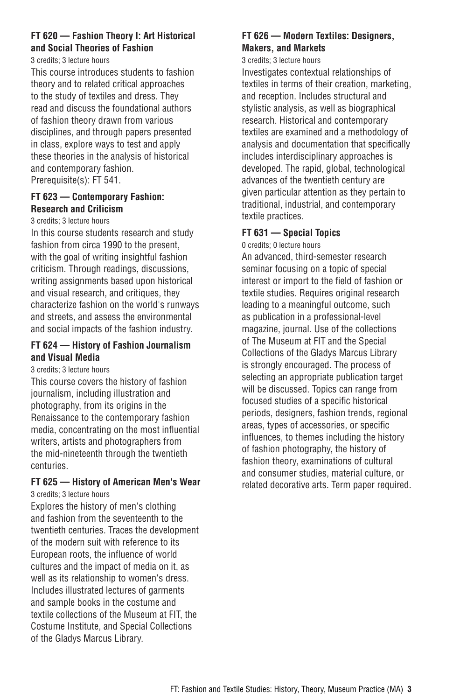#### **FT 620 — Fashion Theory I: Art Historical and Social Theories of Fashion**

3 credits; 3 lecture hours

This course introduces students to fashion theory and to related critical approaches to the study of textiles and dress. They read and discuss the foundational authors of fashion theory drawn from various disciplines, and through papers presented in class, explore ways to test and apply these theories in the analysis of historical and contemporary fashion. Prerequisite(s): FT 541.

## **FT 623 — Contemporary Fashion: Research and Criticism**

3 credits; 3 lecture hours

In this course students research and study fashion from circa 1990 to the present, with the goal of writing insightful fashion criticism. Through readings, discussions, writing assignments based upon historical and visual research, and critiques, they characterize fashion on the world's runways and streets, and assess the environmental and social impacts of the fashion industry.

#### **FT 624 — History of Fashion Journalism and Visual Media**

3 credits; 3 lecture hours

This course covers the history of fashion journalism, including illustration and photography, from its origins in the Renaissance to the contemporary fashion media, concentrating on the most influential writers, artists and photographers from the mid-nineteenth through the twentieth centuries.

## **FT 625 — History of American Men's Wear**

3 credits; 3 lecture hours

Explores the history of men's clothing and fashion from the seventeenth to the twentieth centuries. Traces the development of the modern suit with reference to its European roots, the influence of world cultures and the impact of media on it, as well as its relationship to women's dress. Includes illustrated lectures of garments and sample books in the costume and textile collections of the Museum at FIT, the Costume Institute, and Special Collections of the Gladys Marcus Library.

#### **FT 626 — Modern Textiles: Designers, Makers, and Markets**

#### 3 credits; 3 lecture hours

Investigates contextual relationships of textiles in terms of their creation, marketing, and reception. Includes structural and stylistic analysis, as well as biographical research. Historical and contemporary textiles are examined and a methodology of analysis and documentation that specifically includes interdisciplinary approaches is developed. The rapid, global, technological advances of the twentieth century are given particular attention as they pertain to traditional, industrial, and contemporary textile practices.

#### **FT 631 — Special Topics**

0 credits; 0 lecture hours

An advanced, third-semester research seminar focusing on a topic of special interest or import to the field of fashion or textile studies. Requires original research leading to a meaningful outcome, such as publication in a professional-level magazine, journal. Use of the collections of The Museum at FIT and the Special Collections of the Gladys Marcus Library is strongly encouraged. The process of selecting an appropriate publication target will be discussed. Topics can range from focused studies of a specific historical periods, designers, fashion trends, regional areas, types of accessories, or specific influences, to themes including the history of fashion photography, the history of fashion theory, examinations of cultural and consumer studies, material culture, or related decorative arts. Term paper required.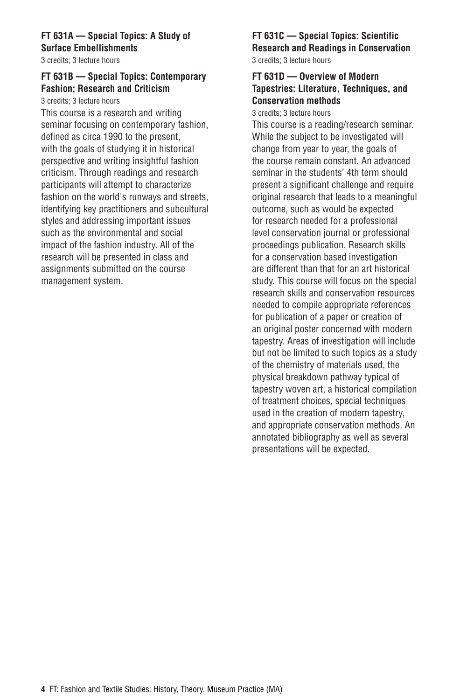## **FT 631A — Special Topics: A Study of Surface Embellishments**

3 credits; 3 lecture hours

## **FT 631B — Special Topics: Contemporary Fashion; Research and Criticism**

3 credits; 3 lecture hours

This course is a research and writing seminar focusing on contemporary fashion, defined as circa 1990 to the present, with the goals of studying it in historical perspective and writing insightful fashion criticism. Through readings and research participants will attempt to characterize fashion on the world's runways and streets, identifying key practitioners and subcultural styles and addressing important issues such as the environmental and social impact of the fashion industry. All of the research will be presented in class and assignments submitted on the course management system.

#### **FT 631C — Special Topics: Scientific Research and Readings in Conservation** 3 credits; 3 lecture hours

## **FT 631D — Overview of Modern Tapestries: Literature, Techniques, and Conservation methods**

3 credits; 3 lecture hours

This course is a reading/research seminar. While the subject to be investigated will change from year to year, the goals of the course remain constant. An advanced seminar in the students' 4th term should present a significant challenge and require original research that leads to a meaningful outcome, such as would be expected for research needed for a professional level conservation journal or professional proceedings publication. Research skills for a conservation based investigation are different than that for an art historical study. This course will focus on the special research skills and conservation resources needed to compile appropriate references for publication of a paper or creation of an original poster concerned with modern tapestry. Areas of investigation will include but not be limited to such topics as a study of the chemistry of materials used, the physical breakdown pathway typical of tapestry woven art, a historical compilation of treatment choices, special techniques used in the creation of modern tapestry, and appropriate conservation methods. An annotated bibliography as well as several presentations will be expected.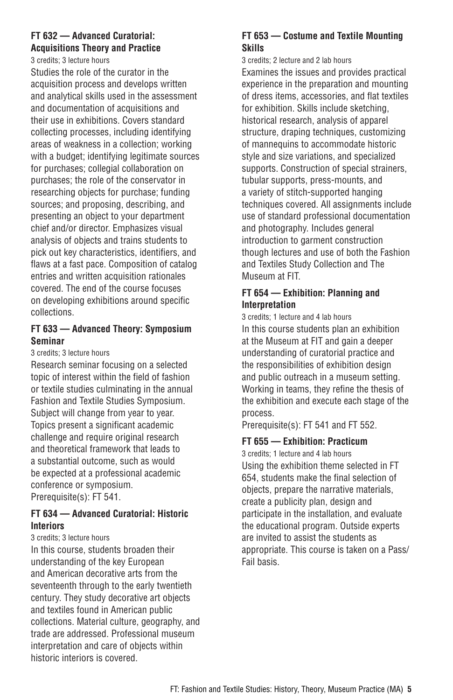## **FT 632 — Advanced Curatorial: Acquisitions Theory and Practice**

3 credits; 3 lecture hours

Studies the role of the curator in the acquisition process and develops written and analytical skills used in the assessment and documentation of acquisitions and their use in exhibitions. Covers standard collecting processes, including identifying areas of weakness in a collection; working with a budget; identifying legitimate sources for purchases; collegial collaboration on purchases; the role of the conservator in researching objects for purchase; funding sources; and proposing, describing, and presenting an object to your department chief and/or director. Emphasizes visual analysis of objects and trains students to pick out key characteristics, identifiers, and flaws at a fast pace. Composition of catalog entries and written acquisition rationales covered. The end of the course focuses on developing exhibitions around specific collections.

## **FT 633 — Advanced Theory: Symposium Seminar**

3 credits; 3 lecture hours

Research seminar focusing on a selected topic of interest within the field of fashion or textile studies culminating in the annual Fashion and Textile Studies Symposium. Subject will change from year to year. Topics present a significant academic challenge and require original research and theoretical framework that leads to a substantial outcome, such as would be expected at a professional academic conference or symposium. Prerequisite(s): FT 541.

#### **FT 634 — Advanced Curatorial: Historic Interiors**

#### 3 credits; 3 lecture hours

In this course, students broaden their understanding of the key European and American decorative arts from the seventeenth through to the early twentieth century. They study decorative art objects and textiles found in American public collections. Material culture, geography, and trade are addressed. Professional museum interpretation and care of objects within historic interiors is covered.

#### **FT 653 — Costume and Textile Mounting Skills**

3 credits; 2 lecture and 2 lab hours Examines the issues and provides practical experience in the preparation and mounting of dress items, accessories, and flat textiles for exhibition. Skills include sketching, historical research, analysis of apparel structure, draping techniques, customizing of mannequins to accommodate historic style and size variations, and specialized supports. Construction of special strainers, tubular supports, press-mounts, and a variety of stitch-supported hanging techniques covered. All assignments include use of standard professional documentation and photography. Includes general introduction to garment construction though lectures and use of both the Fashion and Textiles Study Collection and The Museum at FIT.

#### **FT 654 — Exhibition: Planning and Interpretation**

3 credits; 1 lecture and 4 lab hours In this course students plan an exhibition at the Museum at FIT and gain a deeper understanding of curatorial practice and the responsibilities of exhibition design and public outreach in a museum setting. Working in teams, they refine the thesis of the exhibition and execute each stage of the process.

Prerequisite(s): FT 541 and FT 552.

#### **FT 655 — Exhibition: Practicum**

3 credits; 1 lecture and 4 lab hours Using the exhibition theme selected in FT 654, students make the final selection of objects, prepare the narrative materials, create a publicity plan, design and participate in the installation, and evaluate the educational program. Outside experts are invited to assist the students as appropriate. This course is taken on a Pass/ Fail basis.